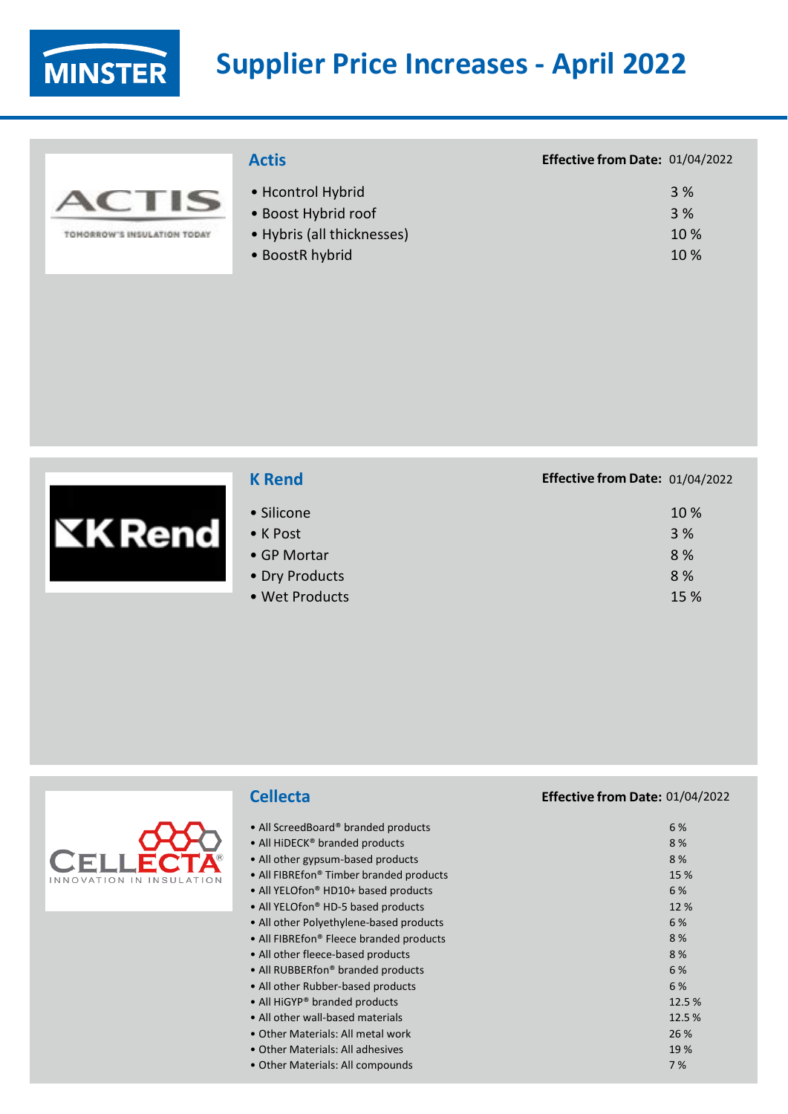**MINSTER** 

# **Supplier Price Increases - April 2022**

|                          | <b>Actis</b>               | Effective from Date: 01/04/2022 |
|--------------------------|----------------------------|---------------------------------|
| $\sim$                   | • Hcontrol Hybrid          | 3 %                             |
| $\blacktriangle$         | • Boost Hybrid roof        | 3 %                             |
| $\sim$                   | • Hybris (all thicknesses) | 10 %                            |
| ORROW'S INSULATION TODAY | • BoostR hybrid            | 10 %                            |

| <b>K</b> Rend  | Effective from Date: 01/04/2022 |      |
|----------------|---------------------------------|------|
| • Silicone     |                                 | 10 % |
| • K Post       |                                 | 3 %  |
| • GP Mortar    |                                 | 8%   |
| • Dry Products |                                 | 8%   |
| • Wet Products |                                 | 15 % |

|                          | <b>Cellecta</b>                                     | Effective from Date: 01/04/2022 |
|--------------------------|-----------------------------------------------------|---------------------------------|
|                          | • All ScreedBoard® branded products                 | 6 %                             |
|                          | • All HiDECK <sup>®</sup> branded products          | 8 %                             |
|                          | • All other gypsum-based products                   | 8 %                             |
| INNOVATION IN INSULATION | • All FIBREfon® Timber branded products             | 15 %                            |
|                          | • All YELOfon <sup>®</sup> HD10+ based products     | 6 %                             |
|                          | • All YELOfon <sup>®</sup> HD-5 based products      | 12 %                            |
|                          | • All other Polyethylene-based products             | 6 %                             |
|                          | • All FIBREfon <sup>®</sup> Fleece branded products | 8 %                             |
|                          | • All other fleece-based products                   | 8 %                             |
|                          | • All RUBBERfon <sup>®</sup> branded products       | 6 %                             |
|                          | • All other Rubber-based products                   | 6 %                             |
|                          | • All HiGYP® branded products                       | 12.5 %                          |
|                          | • All other wall-based materials                    | 12.5%                           |
|                          | • Other Materials: All metal work                   | 26 %                            |
|                          | • Other Materials: All adhesives                    | 19%                             |
|                          | • Other Materials: All compounds                    | 7 %                             |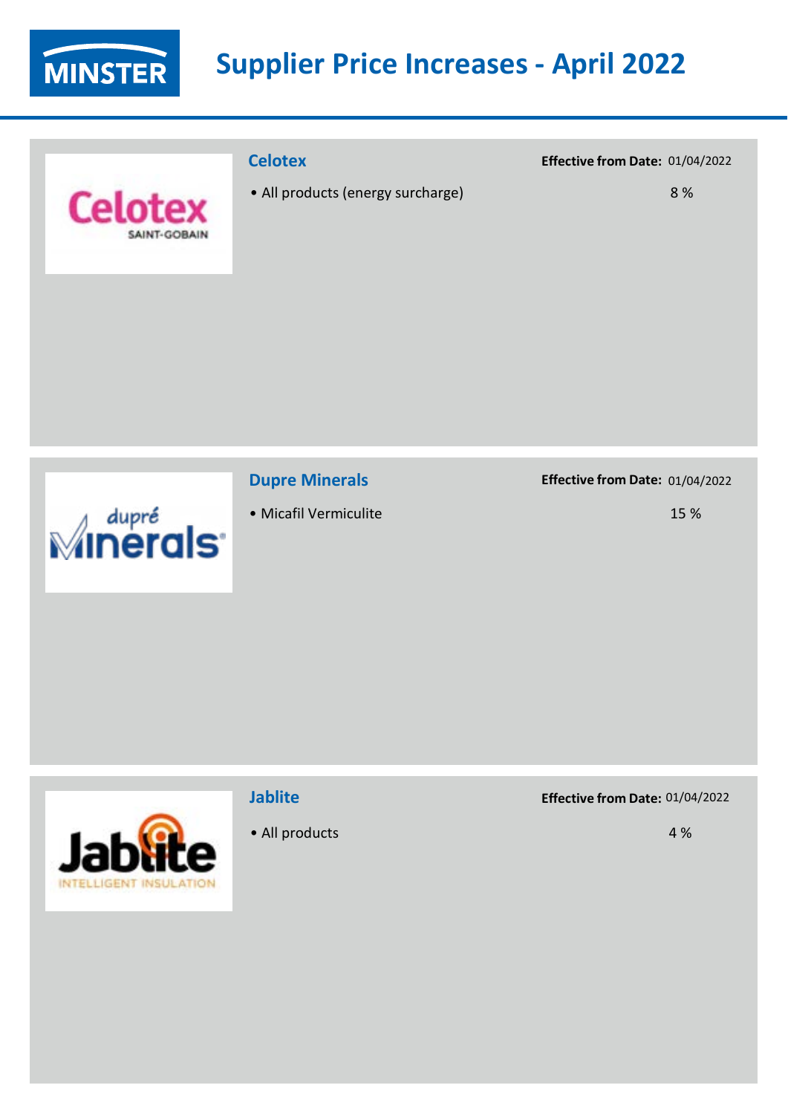

# **Supplier Price Increases - April 2022**

|                                | <b>Celotex</b>                    | Effective from Date: 01/04/2022 |
|--------------------------------|-----------------------------------|---------------------------------|
| <b>Celotex</b><br>SAINT-GOBAIN | • All products (energy surcharge) | 8%                              |
|                                |                                   |                                 |



## **Dupre Minerals**

• Micafil Vermiculite

#### **Effective from Date:** 01/04/2022

15 %



## **Jablite**

• All products

**Effective from Date:** 01/04/2022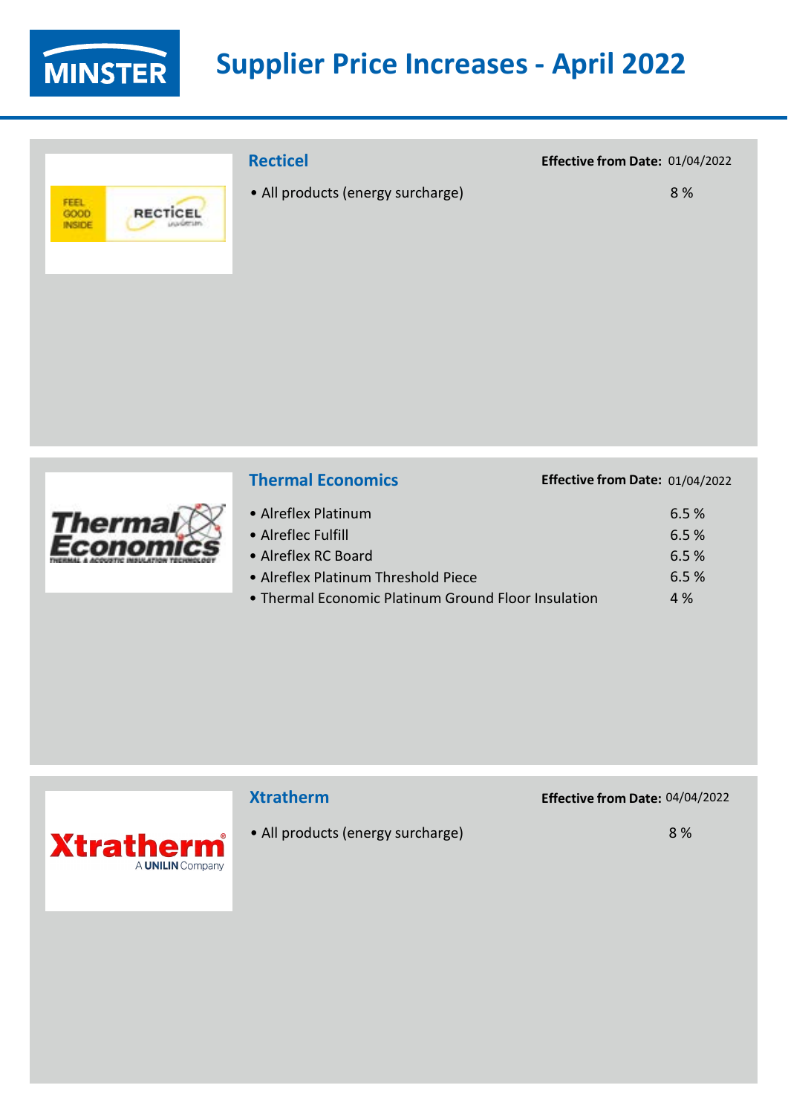

# **Supplier Price Increases - April 2022**

# FEEL<br>GOOD<br>INSIDE RECTICEL

## **Recticel**

• All products (energy surcharge)

#### **Effective from Date:** 01/04/2022

**Effective from Date:** 01/04/2022

8 %

| <b>Thermal Economics</b> |
|--------------------------|
|                          |

| • Alreflex Platinum                                 | 6.5% |
|-----------------------------------------------------|------|
| • Alreflec Fulfill                                  | 6.5% |
| • Alreflex RC Board                                 | 6.5% |
| • Alreflex Platinum Threshold Piece                 | 6.5% |
| • Thermal Economic Platinum Ground Floor Insulation | 4%   |



## **Xtratherm**

• All products (energy surcharge)

**Effective from Date:** 04/04/2022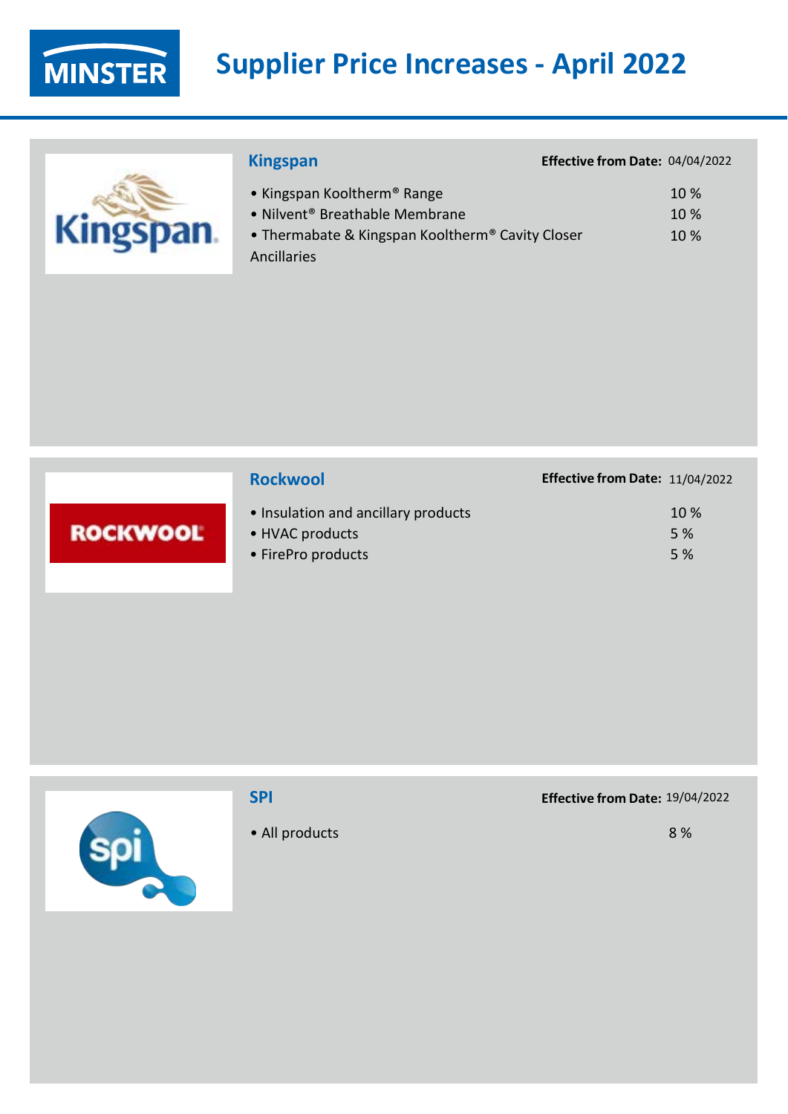

I

# **Supplier Price Increases - April 2022**

| <b>Kingspan</b>                                                                                                                                          | <b>Effective</b> |
|----------------------------------------------------------------------------------------------------------------------------------------------------------|------------------|
| • Kingspan Kooltherm <sup>®</sup> Range<br>• Nilvent <sup>®</sup> Breathable Membrane<br>• Thermabate & Kingspan Kooltherm® Cavity Closer<br>Ancillaries |                  |
|                                                                                                                                                          |                  |

|                 | <b>Rockwool</b>                                                              | Effective from Date: 11/04/2022 |
|-----------------|------------------------------------------------------------------------------|---------------------------------|
| <b>ROCKWOOL</b> | • Insulation and ancillary products<br>• HVAC products<br>• FirePro products | 10 %<br>5 %<br>5 %              |



### **SPI**

• All products

#### **Effective from Date:** 19/04/2022

**Effective from Date:** 04/04/2022

10 % 10 % 10 %